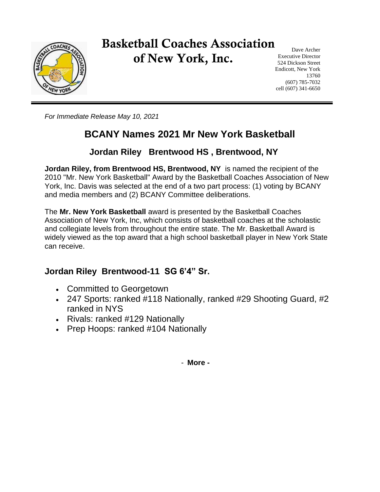

# Basketball Coaches Association of New York, Inc.

Dave Archer Executive Director 524 Dickson Street Endicott, New York 13760 (607) 785-7032 cell (607) 341-6650

*For Immediate Release May 10, 2021*

## **BCANY Names 2021 Mr New York Basketball**

#### **Jordan Riley Brentwood HS , Brentwood, NY**

**Jordan Riley, from Brentwood HS, Brentwood, NY** is named the recipient of the 2010 "Mr. New York Basketball" Award by the Basketball Coaches Association of New York, Inc. Davis was selected at the end of a two part process: (1) voting by BCANY and media members and (2) BCANY Committee deliberations.

The **Mr. New York Basketball** award is presented by the Basketball Coaches Association of New York, Inc, which consists of basketball coaches at the scholastic and collegiate levels from throughout the entire state. The Mr. Basketball Award is widely viewed as the top award that a high school basketball player in New York State can receive.

#### **Jordan Riley Brentwood-11 SG 6'4" Sr.**

- Committed to Georgetown
- 247 Sports: ranked #118 Nationally, ranked #29 Shooting Guard, #2 ranked in NYS
- Rivals: ranked #129 Nationally
- Prep Hoops: ranked #104 Nationally

- **More -**